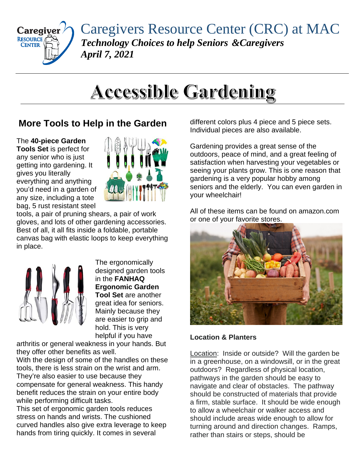

Caregivers Resource Center (CRC) at MAC *Technology Choices to help Seniors &Caregivers April 7, 2021*

## **Accessible Gardening**

## **More Tools to Help in the Garden**

The **40-piece Garden Tools Set** is perfect for any senior who is just getting into gardening. It gives you literally everything and anything you'd need in a garden of any size, including a tote bag, 5 rust resistant steel



tools, a pair of pruning shears, a pair of work gloves, and lots of other gardening accessories. Best of all, it all fits inside a foldable, portable canvas bag with elastic loops to keep everything in place.



The ergonomically designed garden tools in the **FANHAQ Ergonomic Garden Tool Set** are another great idea for seniors. Mainly because they are easier to grip and hold. This is very helpful if you have

arthritis or general weakness in your hands. But they offer other benefits as well.

With the design of some of the handles on these tools, there is less strain on the wrist and arm. They're also easier to use because they compensate for general weakness. This handy benefit reduces the strain on your entire body while performing difficult tasks.

This set of ergonomic garden tools reduces stress on hands and wrists. The cushioned curved handles also give extra leverage to keep hands from tiring quickly. It comes in several

different colors plus 4 piece and 5 piece sets. Individual pieces are also available.

Gardening provides a great sense of the outdoors, peace of mind, and a great feeling of satisfaction when harvesting your vegetables or seeing your plants grow. This is one reason that gardening is a very popular hobby among seniors and the elderly. You can even garden in your wheelchair!

All of these items can be found on amazon.com or one of your favorite stores.



## **Location & Planters**

Location: Inside or outside? Will the garden be in a greenhouse, on a windowsill, or in the great outdoors? Regardless of physical location, pathways in the garden should be easy to navigate and clear of obstacles. The pathway should be constructed of materials that provide a firm, stable surface. It should be wide enough to allow a wheelchair or walker access and should include areas wide enough to allow for turning around and direction changes. Ramps, rather than stairs or steps, should be